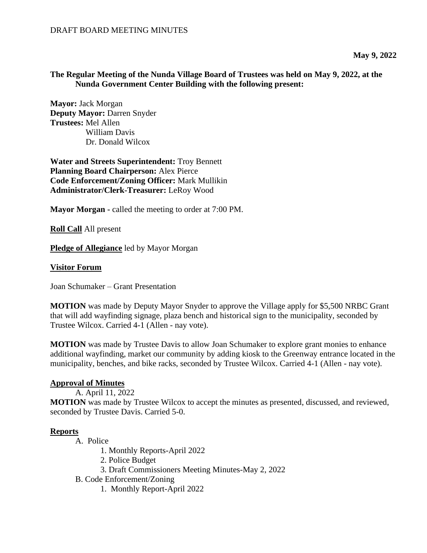### **The Regular Meeting of the Nunda Village Board of Trustees was held on May 9, 2022, at the Nunda Government Center Building with the following present:**

**Mayor:** Jack Morgan **Deputy Mayor:** Darren Snyder **Trustees:** Mel Allen William Davis Dr. Donald Wilcox

**Water and Streets Superintendent:** Troy Bennett **Planning Board Chairperson:** Alex Pierce **Code Enforcement/Zoning Officer:** Mark Mullikin **Administrator/Clerk-Treasurer:** LeRoy Wood

**Mayor Morgan -** called the meeting to order at 7:00 PM.

**Roll Call** All present

**Pledge of Allegiance** led by Mayor Morgan

### **Visitor Forum**

Joan Schumaker – Grant Presentation

**MOTION** was made by Deputy Mayor Snyder to approve the Village apply for \$5,500 NRBC Grant that will add wayfinding signage, plaza bench and historical sign to the municipality, seconded by Trustee Wilcox. Carried 4-1 (Allen - nay vote).

**MOTION** was made by Trustee Davis to allow Joan Schumaker to explore grant monies to enhance additional wayfinding, market our community by adding kiosk to the Greenway entrance located in the municipality, benches, and bike racks, seconded by Trustee Wilcox. Carried 4-1 (Allen - nay vote).

### **Approval of Minutes**

A. April 11, 2022

**MOTION** was made by Trustee Wilcox to accept the minutes as presented, discussed, and reviewed, seconded by Trustee Davis. Carried 5-0.

### **Reports**

- A. Police
	- 1. Monthly Reports-April 2022
	- 2. Police Budget
	- 3. Draft Commissioners Meeting Minutes-May 2, 2022
- B. Code Enforcement/Zoning
	- 1. Monthly Report-April 2022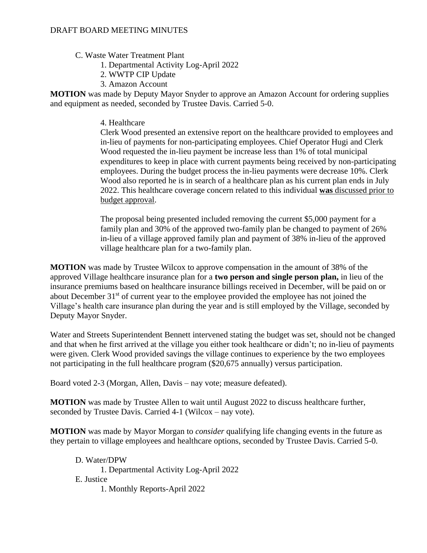- C. Waste Water Treatment Plant
	- 1. Departmental Activity Log-April 2022
	- 2. WWTP CIP Update
	- 3. Amazon Account

**MOTION** was made by Deputy Mayor Snyder to approve an Amazon Account for ordering supplies and equipment as needed, seconded by Trustee Davis. Carried 5-0.

### 4. Healthcare

Clerk Wood presented an extensive report on the healthcare provided to employees and in-lieu of payments for non-participating employees. Chief Operator Hugi and Clerk Wood requested the in-lieu payment be increase less than 1% of total municipal expenditures to keep in place with current payments being received by non-participating employees. During the budget process the in-lieu payments were decrease 10%. Clerk Wood also reported he is in search of a healthcare plan as his current plan ends in July 2022. This healthcare coverage concern related to this individual **was** discussed prior to budget approval.

The proposal being presented included removing the current \$5,000 payment for a family plan and 30% of the approved two-family plan be changed to payment of 26% in-lieu of a village approved family plan and payment of 38% in-lieu of the approved village healthcare plan for a two-family plan.

**MOTION** was made by Trustee Wilcox to approve compensation in the amount of 38% of the approved Village healthcare insurance plan for a **two person and single person plan,** in lieu of the insurance premiums based on healthcare insurance billings received in December, will be paid on or about December 31<sup>st</sup> of current year to the employee provided the employee has not joined the Village's health care insurance plan during the year and is still employed by the Village, seconded by Deputy Mayor Snyder.

Water and Streets Superintendent Bennett intervened stating the budget was set, should not be changed and that when he first arrived at the village you either took healthcare or didn't; no in-lieu of payments were given. Clerk Wood provided savings the village continues to experience by the two employees not participating in the full healthcare program (\$20,675 annually) versus participation.

Board voted 2-3 (Morgan, Allen, Davis – nay vote; measure defeated).

**MOTION** was made by Trustee Allen to wait until August 2022 to discuss healthcare further, seconded by Trustee Davis. Carried 4-1 (Wilcox – nay vote).

**MOTION** was made by Mayor Morgan to *consider* qualifying life changing events in the future as they pertain to village employees and healthcare options, seconded by Trustee Davis. Carried 5-0.

D. Water/DPW 1. Departmental Activity Log-April 2022 E. Justice 1. Monthly Reports-April 2022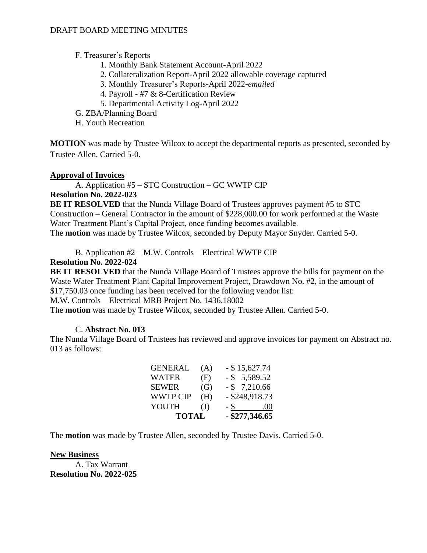### DRAFT BOARD MEETING MINUTES

### F. Treasurer's Reports

- 1. Monthly Bank Statement Account-April 2022
- 2. Collateralization Report-April 2022 allowable coverage captured
- 3. Monthly Treasurer's Reports-April 2022-*emailed*
- 4. Payroll #7 & 8-Certification Review
- 5. Departmental Activity Log-April 2022
- G. ZBA/Planning Board
- H. Youth Recreation

**MOTION** was made by Trustee Wilcox to accept the departmental reports as presented, seconded by Trustee Allen. Carried 5-0.

### **Approval of Invoices**

A. Application #5 – STC Construction – GC WWTP CIP

### **Resolution No. 2022-023**

**BE IT RESOLVED** that the Nunda Village Board of Trustees approves payment #5 to STC Construction – General Contractor in the amount of \$228,000.00 for work performed at the Waste Water Treatment Plant's Capital Project, once funding becomes available. The **motion** was made by Trustee Wilcox, seconded by Deputy Mayor Snyder. Carried 5-0.

B. Application #2 – M.W. Controls – Electrical WWTP CIP

## **Resolution No. 2022-024**

**BE IT RESOLVED** that the Nunda Village Board of Trustees approve the bills for payment on the Waste Water Treatment Plant Capital Improvement Project, Drawdown No. #2, in the amount of \$17,750.03 once funding has been received for the following vendor list:

M.W. Controls – Electrical MRB Project No. 1436.18002

The **motion** was made by Trustee Wilcox, seconded by Trustee Allen. Carried 5-0.

### C. **Abstract No. 013**

The Nunda Village Board of Trustees has reviewed and approve invoices for payment on Abstract no. 013 as follows:

| <b>TOTAL</b>    |              | $-$ \$277,346.65      |     |
|-----------------|--------------|-----------------------|-----|
| <b>YOUTH</b>    | $\mathrm{J}$ | - S<br>$\mathbb{R}^2$ | 00. |
| <b>WWTP CIP</b> | (H)          | $-$ \$248,918.73      |     |
| <b>SEWER</b>    | (G)          | $-$ \$ 7,210.66       |     |
| <b>WATER</b>    | (F)          | $-$ \$ 5,589.52       |     |
| <b>GENERAL</b>  | (A)          | $-$ \$15,627.74       |     |

The **motion** was made by Trustee Allen, seconded by Trustee Davis. Carried 5-0.

### **New Business**

A. Tax Warrant **Resolution No. 2022-025**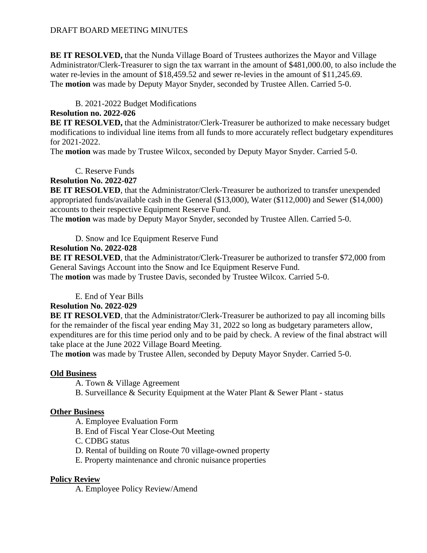**BE IT RESOLVED,** that the Nunda Village Board of Trustees authorizes the Mayor and Village Administrator/Clerk-Treasurer to sign the tax warrant in the amount of \$481,000.00, to also include the water re-levies in the amount of \$18,459.52 and sewer re-levies in the amount of \$11,245.69. The **motion** was made by Deputy Mayor Snyder, seconded by Trustee Allen. Carried 5-0.

# B. 2021-2022 Budget Modifications

# **Resolution no. 2022-026**

**BE IT RESOLVED,** that the Administrator/Clerk-Treasurer be authorized to make necessary budget modifications to individual line items from all funds to more accurately reflect budgetary expenditures for 2021-2022.

The **motion** was made by Trustee Wilcox, seconded by Deputy Mayor Snyder. Carried 5-0.

C. Reserve Funds

# **Resolution No. 2022-027**

**BE IT RESOLVED**, that the Administrator/Clerk-Treasurer be authorized to transfer unexpended appropriated funds/available cash in the General (\$13,000), Water (\$112,000) and Sewer (\$14,000) accounts to their respective Equipment Reserve Fund.

The **motion** was made by Deputy Mayor Snyder, seconded by Trustee Allen. Carried 5-0.

D. Snow and Ice Equipment Reserve Fund

# **Resolution No. 2022-028**

**BE IT RESOLVED**, that the Administrator/Clerk-Treasurer be authorized to transfer \$72,000 from General Savings Account into the Snow and Ice Equipment Reserve Fund.

The **motion** was made by Trustee Davis, seconded by Trustee Wilcox. Carried 5-0.

E. End of Year Bills

## **Resolution No. 2022-029**

**BE IT RESOLVED**, that the Administrator/Clerk-Treasurer be authorized to pay all incoming bills for the remainder of the fiscal year ending May 31, 2022 so long as budgetary parameters allow, expenditures are for this time period only and to be paid by check. A review of the final abstract will take place at the June 2022 Village Board Meeting.

The **motion** was made by Trustee Allen, seconded by Deputy Mayor Snyder. Carried 5-0.

## **Old Business**

A. Town & Village Agreement

B. Surveillance & Security Equipment at the Water Plant & Sewer Plant - status

## **Other Business**

- A. Employee Evaluation Form
- B. End of Fiscal Year Close-Out Meeting
- C. CDBG status
- D. Rental of building on Route 70 village-owned property
- E. Property maintenance and chronic nuisance properties

# **Policy Review**

A. Employee Policy Review/Amend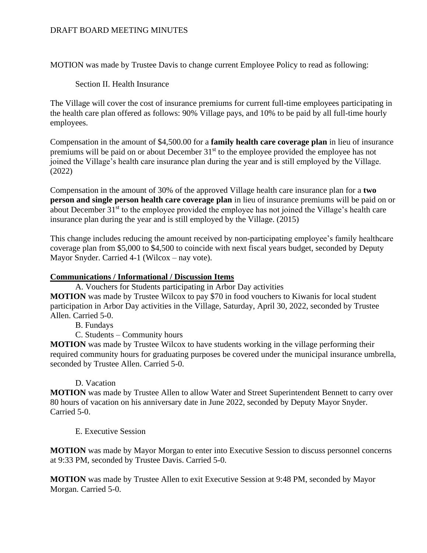### DRAFT BOARD MEETING MINUTES

MOTION was made by Trustee Davis to change current Employee Policy to read as following:

### Section II. Health Insurance

The Village will cover the cost of insurance premiums for current full-time employees participating in the health care plan offered as follows: 90% Village pays, and 10% to be paid by all full-time hourly employees.

Compensation in the amount of \$4,500.00 for a **family health care coverage plan** in lieu of insurance premiums will be paid on or about December 31<sup>st</sup> to the employee provided the employee has not joined the Village's health care insurance plan during the year and is still employed by the Village. (2022)

Compensation in the amount of 30% of the approved Village health care insurance plan for a **two person and single person health care coverage plan** in lieu of insurance premiums will be paid on or about December 31<sup>st</sup> to the employee provided the employee has not joined the Village's health care insurance plan during the year and is still employed by the Village. (2015)

This change includes reducing the amount received by non-participating employee's family healthcare coverage plan from \$5,000 to \$4,500 to coincide with next fiscal years budget, seconded by Deputy Mayor Snyder. Carried 4-1 (Wilcox – nay vote).

### **Communications / Informational / Discussion Items**

A. Vouchers for Students participating in Arbor Day activities **MOTION** was made by Trustee Wilcox to pay \$70 in food vouchers to Kiwanis for local student participation in Arbor Day activities in the Village, Saturday, April 30, 2022, seconded by Trustee

- Allen. Carried 5-0.
	- B. Fundays
	- C. Students Community hours

**MOTION** was made by Trustee Wilcox to have students working in the village performing their required community hours for graduating purposes be covered under the municipal insurance umbrella, seconded by Trustee Allen. Carried 5-0.

### D. Vacation

**MOTION** was made by Trustee Allen to allow Water and Street Superintendent Bennett to carry over 80 hours of vacation on his anniversary date in June 2022, seconded by Deputy Mayor Snyder. Carried 5-0.

### E. Executive Session

**MOTION** was made by Mayor Morgan to enter into Executive Session to discuss personnel concerns at 9:33 PM, seconded by Trustee Davis. Carried 5-0.

**MOTION** was made by Trustee Allen to exit Executive Session at 9:48 PM, seconded by Mayor Morgan. Carried 5-0.